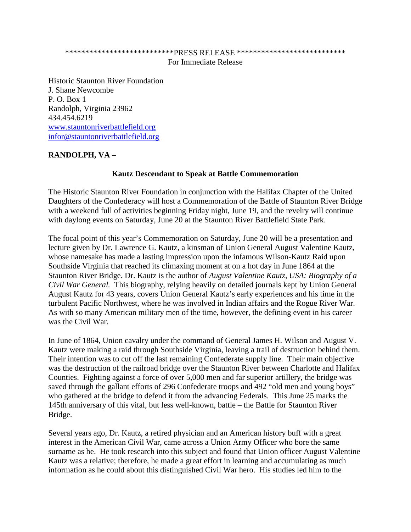## \*\*\*\*\*\*\*\*\*\*\*\*\*\*\*\*\*\*\*\*\*\*\*\*\*\*\*PRESS RELEASE \*\*\*\*\*\*\*\*\*\*\*\*\*\*\*\*\*\*\*\*\*\*\*\*\*\*\* For Immediate Release

Historic Staunton River Foundation J. Shane Newcombe P. O. Box 1 Randolph, Virginia 23962 434.454.6219 [www.stauntonriverbattlefield.org](http://www.stauntonriverbattlefield.org/) [infor@stauntonriverbattlefield.org](mailto:infor@stauntonriverbattlefield.org)

## **RANDOLPH, VA –**

## **Kautz Descendant to Speak at Battle Commemoration**

The Historic Staunton River Foundation in conjunction with the Halifax Chapter of the United Daughters of the Confederacy will host a Commemoration of the Battle of Staunton River Bridge with a weekend full of activities beginning Friday night, June 19, and the revelry will continue with daylong events on Saturday, June 20 at the Staunton River Battlefield State Park.

The focal point of this year's Commemoration on Saturday, June 20 will be a presentation and lecture given by Dr. Lawrence G. Kautz, a kinsman of Union General August Valentine Kautz, whose namesake has made a lasting impression upon the infamous Wilson-Kautz Raid upon Southside Virginia that reached its climaxing moment at on a hot day in June 1864 at the Staunton River Bridge. Dr. Kautz is the author of *August Valentine Kautz, USA: Biography of a Civil War General.* This biography, relying heavily on detailed journals kept by Union General August Kautz for 43 years, covers Union General Kautz's early experiences and his time in the turbulent Pacific Northwest, where he was involved in Indian affairs and the Rogue River War. As with so many American military men of the time, however, the defining event in his career was the Civil War.

In June of 1864, Union cavalry under the command of General James H. Wilson and August V. Kautz were making a raid through Southside Virginia, leaving a trail of destruction behind them. Their intention was to cut off the last remaining Confederate supply line. Their main objective was the destruction of the railroad bridge over the Staunton River between Charlotte and Halifax Counties. Fighting against a force of over 5,000 men and far superior artillery, the bridge was saved through the gallant efforts of 296 Confederate troops and 492 "old men and young boys" who gathered at the bridge to defend it from the advancing Federals. This June 25 marks the 145th anniversary of this vital, but less well-known, battle – the Battle for Staunton River Bridge.

Several years ago, Dr. Kautz, a retired physician and an American history buff with a great interest in the American Civil War, came across a Union Army Officer who bore the same surname as he. He took research into this subject and found that Union officer August Valentine Kautz was a relative; therefore, he made a great effort in learning and accumulating as much information as he could about this distinguished Civil War hero. His studies led him to the